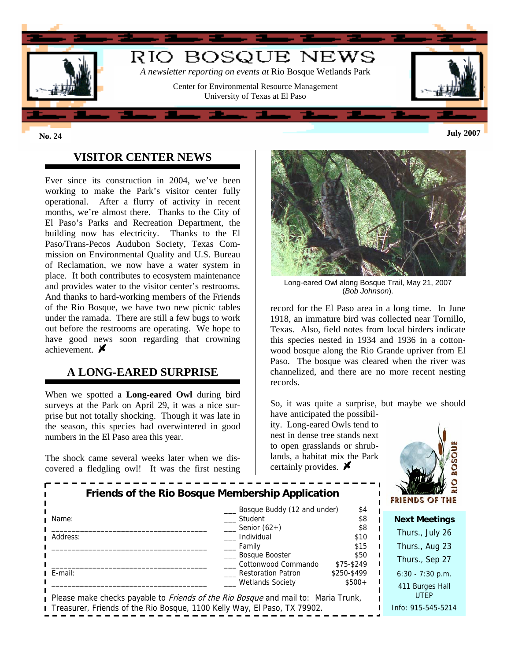

### **VISITOR CENTER NEWS**

Ever since its construction in 2004, we've been working to make the Park's visitor center fully operational. After a flurry of activity in recent months, we're almost there. Thanks to the City of El Paso's Parks and Recreation Department, the building now has electricity. Thanks to the El Paso/Trans-Pecos Audubon Society, Texas Commission on Environmental Quality and U.S. Bureau of Reclamation, we now have a water system in place. It both contributes to ecosystem maintenance and provides water to the visitor center's restrooms. And thanks to hard-working members of the Friends of the Rio Bosque, we have two new picnic tables under the ramada. There are still a few bugs to work out before the restrooms are operating. We hope to have good news soon regarding that crowning achievement.  $\cancel{\blacktriangleright}$ 

## **A LONG-EARED SURPRISE**

When we spotted a **Long-eared Owl** during bird surveys at the Park on April 29, it was a nice surprise but not totally shocking. Though it was late in the season, this species had overwintered in good numbers in the El Paso area this year.

The shock came several weeks later when we discovered a fledgling owl! It was the first nesting



Long-eared Owl along Bosque Trail, May 21, 2007 (*Bob Johnson*).

record for the El Paso area in a long time. In June 1918, an immature bird was collected near Tornillo, Texas. Also, field notes from local birders indicate this species nested in 1934 and 1936 in a cottonwood bosque along the Rio Grande upriver from El Paso. The bosque was cleared when the river was channelized, and there are no more recent nesting records.

So, it was quite a surprise, but maybe we should

have anticipated the possibility. Long-eared Owls tend to nest in dense tree stands next to open grasslands or shrublands, a habitat mix the Park certainly provides.  $\blacktriangleright$ 



| Friends of the Rio Bosque Membership Application<br>Bosque Buddy (12 and under)<br>\$4                                  |                                              |                    | $\overline{a}$<br>FRIENDS OF THE |
|-------------------------------------------------------------------------------------------------------------------------|----------------------------------------------|--------------------|----------------------------------|
| Name:                                                                                                                   | Student                                      | \$8                | <b>Next Meetings</b>             |
| Address:                                                                                                                | Senior $(62+)$<br>Individual                 | \$8<br>\$10        | Thurs., July 26                  |
|                                                                                                                         | Family                                       | \$15               | Thurs., Aug 23                   |
|                                                                                                                         | <b>Bosque Booster</b><br>Cottonwood Commando | \$50<br>\$75-\$249 | Thurs., Sep 27                   |
| E-mail:                                                                                                                 | <b>Restoration Patron</b>                    | \$250-\$499        | $6:30 - 7:30$ p.m.               |
| <b>Wetlands Society</b><br>$$500+$<br>Please make checks payable to Friends of the Rio Bosque and mail to: Maria Trunk, |                                              |                    | 411 Burges Hall<br><b>UTEP</b>   |
| Treasurer, Friends of the Rio Bosque, 1100 Kelly Way, El Paso, TX 79902.                                                |                                              |                    | Info: 915-545-5214               |
|                                                                                                                         |                                              |                    |                                  |